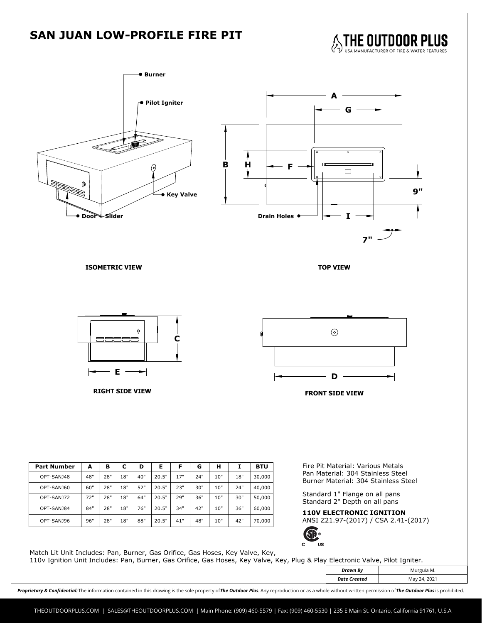## **SAN JUAN LOW-PROFILE FIRE PIT**





110v Ignition Unit Includes: Pan, Burner, Gas Orifice, Gas Hoses, Key Valve, Key, Plug & Play Electronic Valve, Pilot Igniter.

|          | Drawn Ry<br>.<br>the contract of the contract of the contract of |  |
|----------|------------------------------------------------------------------|--|
| 24, 2021 | Createa<br>Date<br>.<br>$\sim$ $\sim$ $\sim$                     |  |

Proprietary & Confidential: The information contained in this drawing is the sole property of The Outdoor Plus. Any reproduction or as a whole without written permission of The Outdoor Plus is prohibited.